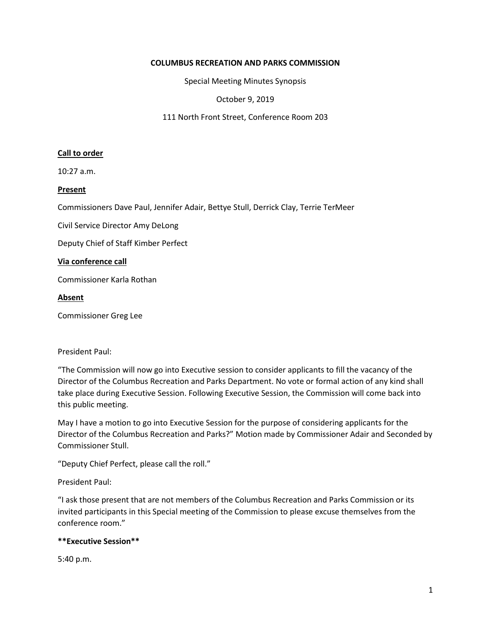## **COLUMBUS RECREATION AND PARKS COMMISSION**

Special Meeting Minutes Synopsis

October 9, 2019

111 North Front Street, Conference Room 203

## **Call to order**

10:27 a.m.

### **Present**

Commissioners Dave Paul, Jennifer Adair, Bettye Stull, Derrick Clay, Terrie TerMeer

Civil Service Director Amy DeLong

Deputy Chief of Staff Kimber Perfect

#### **Via conference call**

Commissioner Karla Rothan

### **Absent**

Commissioner Greg Lee

# President Paul:

"The Commission will now go into Executive session to consider applicants to fill the vacancy of the Director of the Columbus Recreation and Parks Department. No vote or formal action of any kind shall take place during Executive Session. Following Executive Session, the Commission will come back into this public meeting.

May I have a motion to go into Executive Session for the purpose of considering applicants for the Director of the Columbus Recreation and Parks?" Motion made by Commissioner Adair and Seconded by Commissioner Stull.

"Deputy Chief Perfect, please call the roll."

President Paul:

"I ask those present that are not members of the Columbus Recreation and Parks Commission or its invited participants in this Special meeting of the Commission to please excuse themselves from the conference room."

# **\*\*Executive Session\*\***

5:40 p.m.